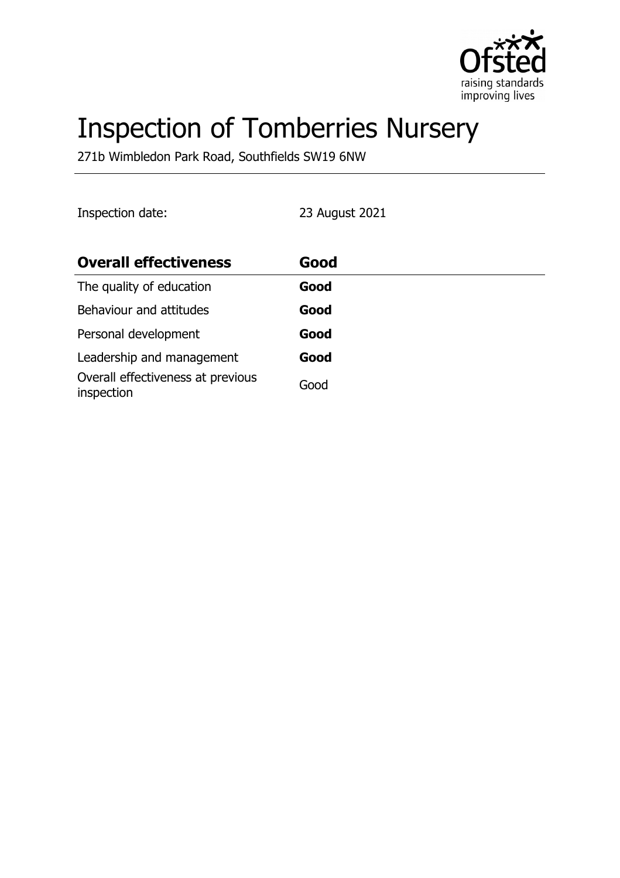

# Inspection of Tomberries Nursery

271b Wimbledon Park Road, Southfields SW19 6NW

Inspection date: 23 August 2021

| <b>Overall effectiveness</b>                    | Good |
|-------------------------------------------------|------|
| The quality of education                        | Good |
| Behaviour and attitudes                         | Good |
| Personal development                            | Good |
| Leadership and management                       | Good |
| Overall effectiveness at previous<br>inspection | Good |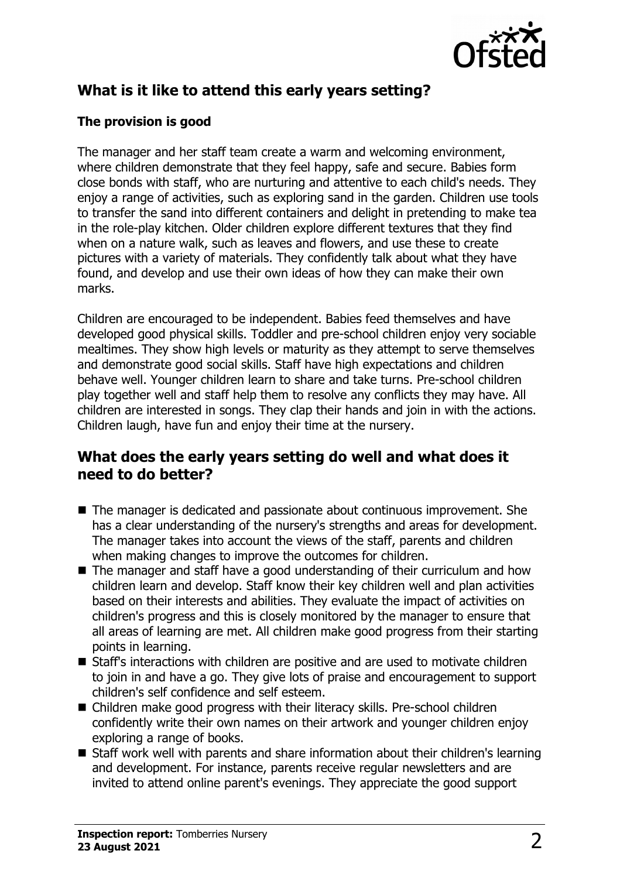

# **What is it like to attend this early years setting?**

### **The provision is good**

The manager and her staff team create a warm and welcoming environment, where children demonstrate that they feel happy, safe and secure. Babies form close bonds with staff, who are nurturing and attentive to each child's needs. They enjoy a range of activities, such as exploring sand in the garden. Children use tools to transfer the sand into different containers and delight in pretending to make tea in the role-play kitchen. Older children explore different textures that they find when on a nature walk, such as leaves and flowers, and use these to create pictures with a variety of materials. They confidently talk about what they have found, and develop and use their own ideas of how they can make their own marks.

Children are encouraged to be independent. Babies feed themselves and have developed good physical skills. Toddler and pre-school children enjoy very sociable mealtimes. They show high levels or maturity as they attempt to serve themselves and demonstrate good social skills. Staff have high expectations and children behave well. Younger children learn to share and take turns. Pre-school children play together well and staff help them to resolve any conflicts they may have. All children are interested in songs. They clap their hands and join in with the actions. Children laugh, have fun and enjoy their time at the nursery.

# **What does the early years setting do well and what does it need to do better?**

- $\blacksquare$  The manager is dedicated and passionate about continuous improvement. She has a clear understanding of the nursery's strengths and areas for development. The manager takes into account the views of the staff, parents and children when making changes to improve the outcomes for children.
- $\blacksquare$  The manager and staff have a good understanding of their curriculum and how children learn and develop. Staff know their key children well and plan activities based on their interests and abilities. They evaluate the impact of activities on children's progress and this is closely monitored by the manager to ensure that all areas of learning are met. All children make good progress from their starting points in learning.
- $\blacksquare$  Staff's interactions with children are positive and are used to motivate children to join in and have a go. They give lots of praise and encouragement to support children's self confidence and self esteem.
- Children make good progress with their literacy skills. Pre-school children confidently write their own names on their artwork and younger children enjoy exploring a range of books.
- Staff work well with parents and share information about their children's learning and development. For instance, parents receive regular newsletters and are invited to attend online parent's evenings. They appreciate the good support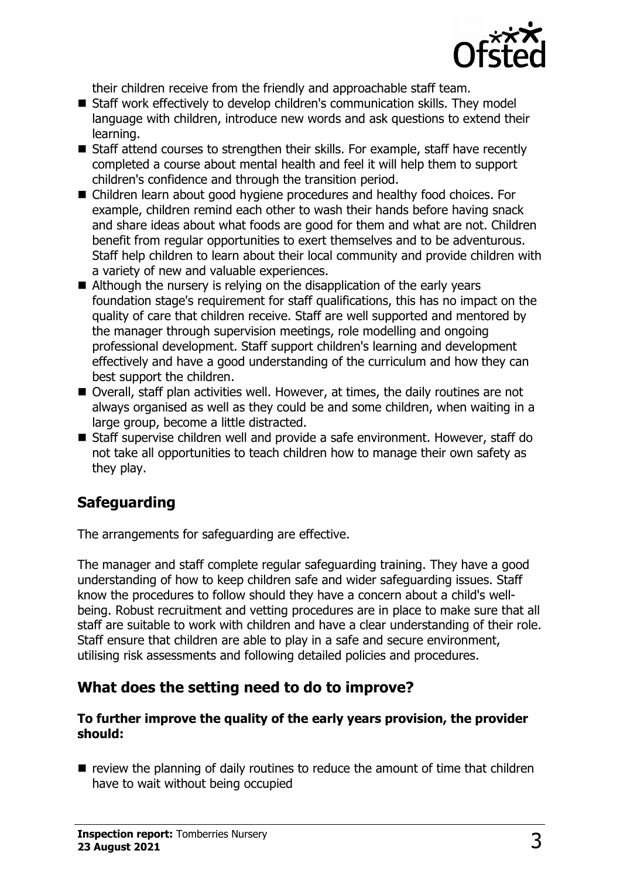

their children receive from the friendly and approachable staff team.

- Staff work effectively to develop children's communication skills. They model language with children, introduce new words and ask questions to extend their learning.
- Staff attend courses to strengthen their skills. For example, staff have recently completed a course about mental health and feel it will help them to support children's confidence and through the transition period.
- Children learn about good hygiene procedures and healthy food choices. For example, children remind each other to wash their hands before having snack and share ideas about what foods are good for them and what are not. Children benefit from regular opportunities to exert themselves and to be adventurous. Staff help children to learn about their local community and provide children with a variety of new and valuable experiences.
- $\blacksquare$  Although the nursery is relying on the disapplication of the early years foundation stage's requirement for staff qualifications, this has no impact on the quality of care that children receive. Staff are well supported and mentored by the manager through supervision meetings, role modelling and ongoing professional development. Staff support children's learning and development effectively and have a good understanding of the curriculum and how they can best support the children.
- $\blacksquare$  Overall, staff plan activities well. However, at times, the daily routines are not always organised as well as they could be and some children, when waiting in a large group, become a little distracted.
- Staff supervise children well and provide a safe environment. However, staff do not take all opportunities to teach children how to manage their own safety as they play.

# **Safeguarding**

The arrangements for safeguarding are effective.

The manager and staff complete regular safeguarding training. They have a good understanding of how to keep children safe and wider safeguarding issues. Staff know the procedures to follow should they have a concern about a child's wellbeing. Robust recruitment and vetting procedures are in place to make sure that all staff are suitable to work with children and have a clear understanding of their role. Staff ensure that children are able to play in a safe and secure environment, utilising risk assessments and following detailed policies and procedures.

# **What does the setting need to do to improve?**

#### **To further improve the quality of the early years provision, the provider should:**

 $\blacksquare$  review the planning of daily routines to reduce the amount of time that children have to wait without being occupied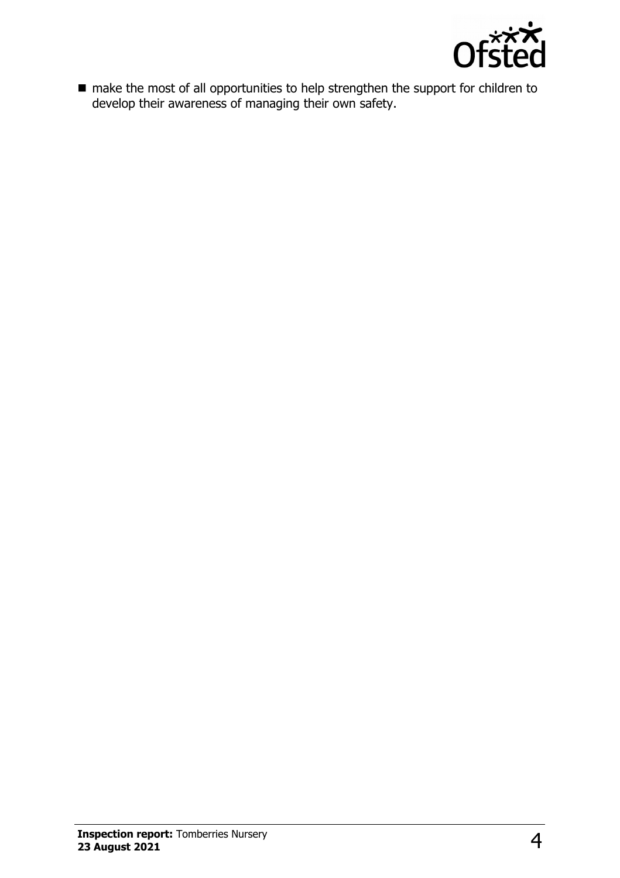

 $\blacksquare$  make the most of all opportunities to help strengthen the support for children to develop their awareness of managing their own safety.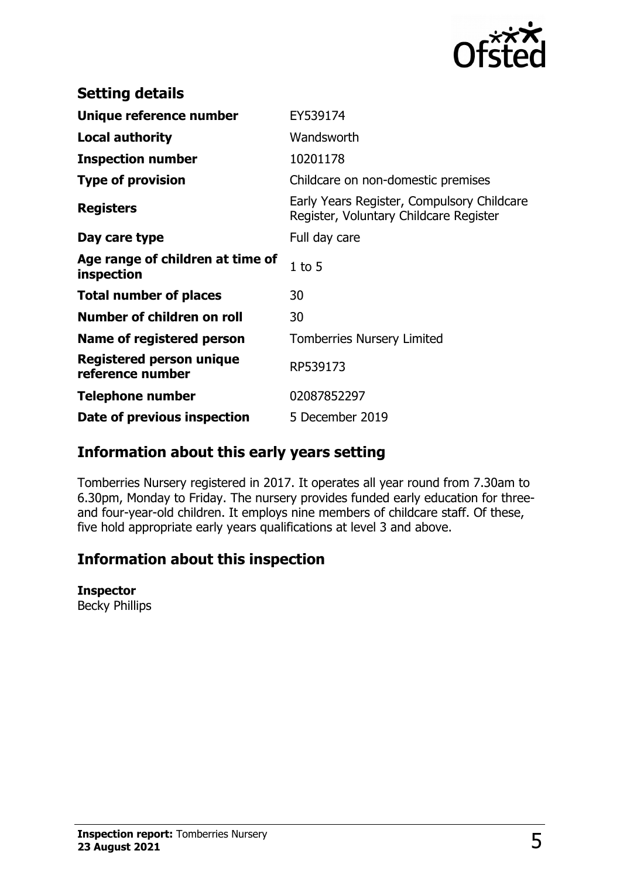

| <b>Setting details</b>                         |                                                                                      |
|------------------------------------------------|--------------------------------------------------------------------------------------|
| Unique reference number                        | EY539174                                                                             |
| <b>Local authority</b>                         | Wandsworth                                                                           |
| <b>Inspection number</b>                       | 10201178                                                                             |
| <b>Type of provision</b>                       | Childcare on non-domestic premises                                                   |
| <b>Registers</b>                               | Early Years Register, Compulsory Childcare<br>Register, Voluntary Childcare Register |
| Day care type                                  | Full day care                                                                        |
| Age range of children at time of<br>inspection | $1$ to $5$                                                                           |
| <b>Total number of places</b>                  | 30                                                                                   |
| Number of children on roll                     | 30                                                                                   |
| Name of registered person                      | <b>Tomberries Nursery Limited</b>                                                    |
| Registered person unique<br>reference number   | RP539173                                                                             |
| <b>Telephone number</b>                        | 02087852297                                                                          |
| Date of previous inspection                    | 5 December 2019                                                                      |

# **Information about this early years setting**

Tomberries Nursery registered in 2017. It operates all year round from 7.30am to 6.30pm, Monday to Friday. The nursery provides funded early education for threeand four-year-old children. It employs nine members of childcare staff. Of these, five hold appropriate early years qualifications at level 3 and above.

# **Information about this inspection**

#### **Inspector**

Becky Phillips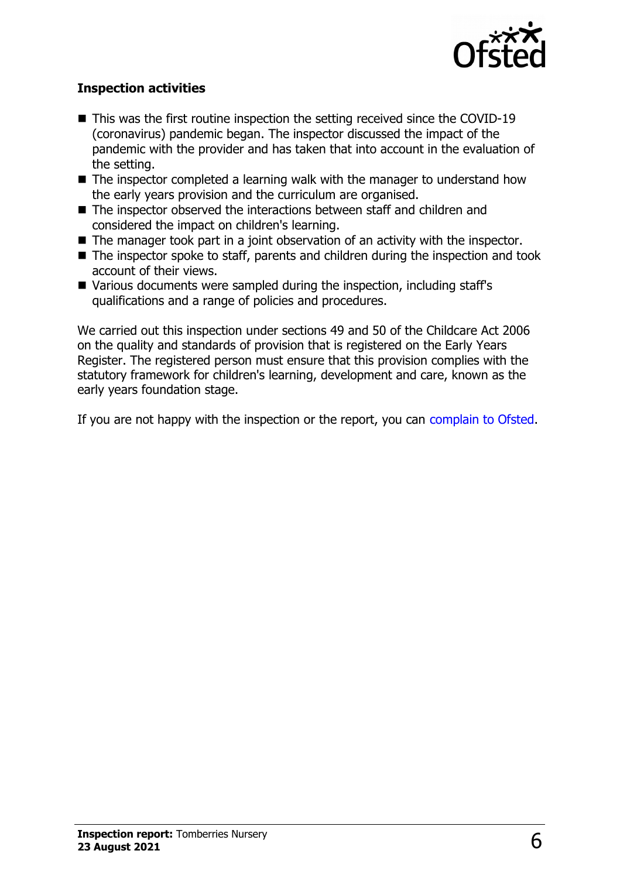

#### **Inspection activities**

- $\blacksquare$  This was the first routine inspection the setting received since the COVID-19 (coronavirus) pandemic began. The inspector discussed the impact of the pandemic with the provider and has taken that into account in the evaluation of the setting.
- $\blacksquare$  The inspector completed a learning walk with the manager to understand how the early years provision and the curriculum are organised.
- $\blacksquare$  The inspector observed the interactions between staff and children and considered the impact on children's learning.
- $\blacksquare$  The manager took part in a joint observation of an activity with the inspector.
- $\blacksquare$  The inspector spoke to staff, parents and children during the inspection and took account of their views.
- Various documents were sampled during the inspection, including staff's qualifications and a range of policies and procedures.

We carried out this inspection under sections 49 and 50 of the Childcare Act 2006 on the quality and standards of provision that is registered on the Early Years Register. The registered person must ensure that this provision complies with the statutory framework for children's learning, development and care, known as the early years foundation stage.

If you are not happy with the inspection or the report, you can [complain to Ofsted.](http://www.gov.uk/complain-ofsted-report)